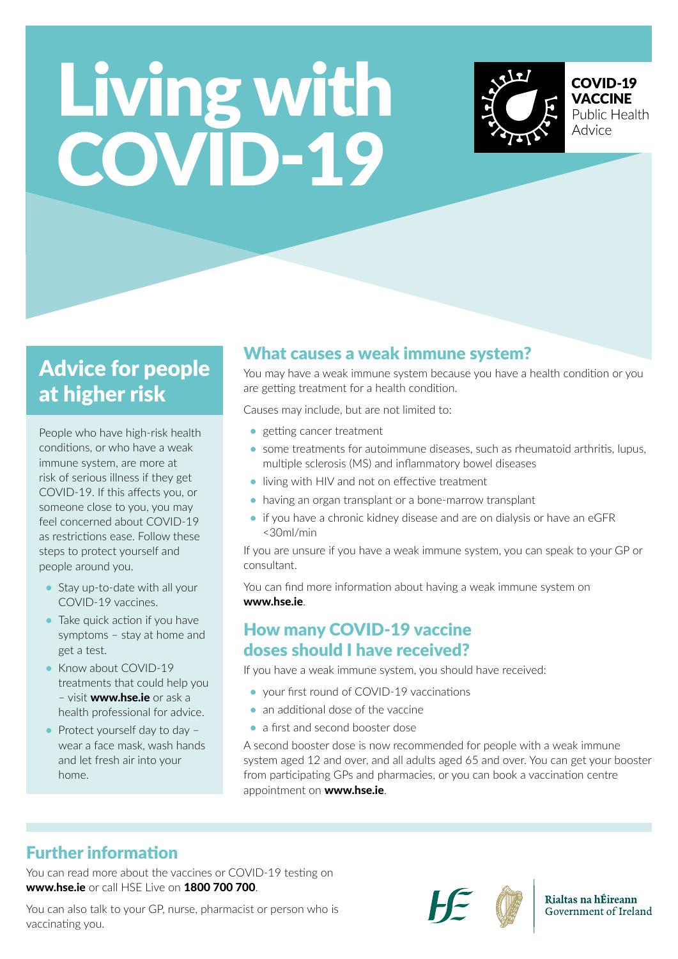# Living with COVID-19



**COVID-19 VACCINE** Public Health Advice

# Advice for people at higher risk

People who have high-risk health conditions, or who have a weak immune system, are more at risk of serious illness if they get COVID-19. If this affects you, or someone close to you, you may feel concerned about COVID-19 as restrictions ease. Follow these steps to protect yourself and people around you.

- **•** Stay up-to-date with all your COVID-19 vaccines.
- **•** Take quick action if you have symptoms – stay at home and get a test.
- **•** Know about COVID-19 treatments that could help you – visit [www.hse.ie](http://www.hse.ie) or ask a health professional for advice.
- Protect yourself day to day wear a face mask, wash hands and let fresh air into your home.

# What causes a weak immune system?

You may have a weak immune system because you have a health condition or you are getting treatment for a health condition.

Causes may include, but are not limited to:

- **•** getting cancer treatment
- some treatments for autoimmune diseases, such as rheumatoid arthritis, lupus, multiple sclerosis (MS) and inflammatory bowel diseases
- **•** living with HIV and not on effective treatment
- **•** having an organ transplant or a bone-marrow transplant
- **•** if you have a chronic kidney disease and are on dialysis or have an eGFR <30ml/min

If you are unsure if you have a weak immune system, you can speak to your GP or consultant.

You can find more information about having a weak immune system on [www.hse.ie](http://www.hse.ie).

## How many COVID-19 vaccine doses should I have received?

If you have a weak immune system, you should have received:

- **•** your first round of COVID-19 vaccinations
- **•** an additional dose of the vaccine
- **•** a first and second booster dose

A second booster dose is now recommended for people with a weak immune system aged 12 and over, and all adults aged 65 and over. You can get your booster from participating GPs and pharmacies, or you can book a vaccination centre appointment on **[www.hse.ie](http://www.hse.ie)**.

# Further information

You can read more about the vaccines or COVID-19 testing on [www.hse.ie](http://www.hse.ie) or call HSE Live on 1800 700 700.

You can also talk to your GP, nurse, pharmacist or person who is vaccinating you.





Rialtas na hÉireann Government of Ireland